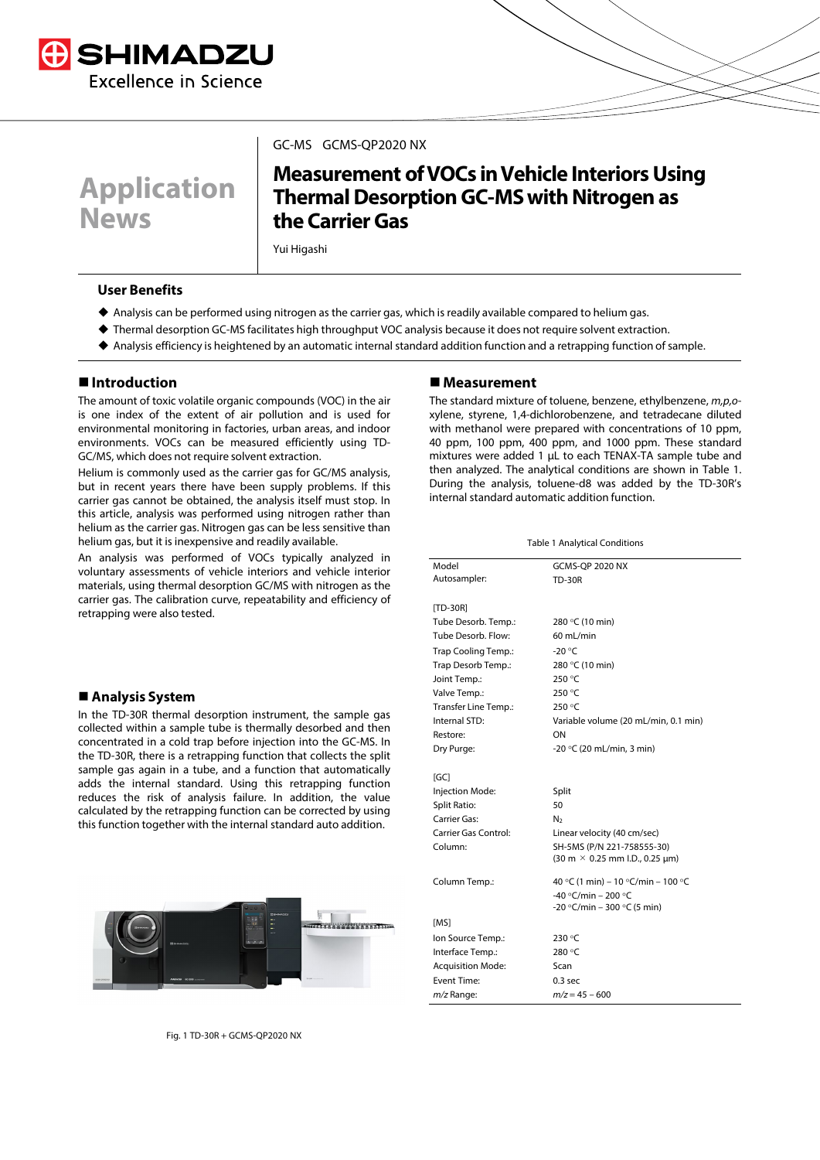



#### GC-MS GCMS-QP2020 NX

# **Measurement of VOCs in Vehicle Interiors Using Thermal Desorption GC-MS with Nitrogen as the CarrierGas**

Yui Higashi

### **User Benefits**

- Analysis can be performed using nitrogen as the carrier gas, which is readily available compared to helium gas.
- Thermal desorption GC-MS facilitates high throughput VOC analysis because it does not require solvent extraction.
- Analysis efficiency is heightened by an automatic internal standard addition function and a retrapping function of sample.

## **Introduction**

The amount of toxic volatile organic compounds (VOC) in the air is one index of the extent of air pollution and is used for environmental monitoring in factories, urban areas, and indoor environments. VOCs can be measured efficiently using TD-GC/MS, which does not require solvent extraction.

Helium is commonly used as the carrier gas for GC/MS analysis, but in recent years there have been supply problems. If this carrier gas cannot be obtained, the analysis itself must stop. In this article, analysis was performed using nitrogen rather than helium as the carrier gas. Nitrogen gas can be less sensitive than helium gas, but it is inexpensive and readily available.

An analysis was performed of VOCs typically analyzed in voluntary assessments of vehicle interiors and vehicle interior materials, using thermal desorption GC/MS with nitrogen as the carrier gas. The calibration curve, repeatability and efficiency of retrapping were also tested.

#### **Analysis System**

In the TD-30R thermal desorption instrument, the sample gas collected within a sample tube is thermally desorbed and then concentrated in a cold trap before injection into the GC-MS. In the TD-30R, there is a retrapping function that collects the split sample gas again in a tube, and a function that automatically adds the internal standard. Using this retrapping function reduces the risk of analysis failure. In addition, the value calculated by the retrapping function can be corrected by using this function together with the internal standard auto addition.



Fig. 1 TD-30R + GCMS-QP2020 NX

#### **Measurement**

The standard mixture of toluene, benzene, ethylbenzene, *m,p,o*xylene, styrene, 1,4-dichlorobenzene, and tetradecane diluted with methanol were prepared with concentrations of 10 ppm, 40 ppm, 100 ppm, 400 ppm, and 1000 ppm. These standard mixtures were added 1 µL to each TENAX-TA sample tube and then analyzed. The analytical conditions are shown in Table 1. During the analysis, toluene-d8 was added by the TD-30R's internal standard automatic addition function.

| <b>Table 1 Analytical Conditions</b> |  |
|--------------------------------------|--|
|--------------------------------------|--|

| Model                       | <b>GCMS-QP 2020 NX</b>                                                 |
|-----------------------------|------------------------------------------------------------------------|
| Autosampler:                | <b>TD-30R</b>                                                          |
|                             |                                                                        |
| $[TD-30R]$                  |                                                                        |
| Tube Desorb. Temp.:         | 280 °C (10 min)                                                        |
| Tube Desorb. Flow:          | 60 mL/min                                                              |
| Trap Cooling Temp.:         | $-20 °C$                                                               |
| Trap Desorb Temp.:          | 280 °C (10 min)                                                        |
| Joint Temp.:                | 250 °C                                                                 |
| Valve Temp.:                | 250 °C                                                                 |
| <b>Transfer Line Temp.:</b> | 250 °C                                                                 |
| Internal STD:               | Variable volume (20 mL/min, 0.1 min)                                   |
| Restore:                    | ON                                                                     |
| Dry Purge:                  | -20 °C (20 mL/min, 3 min)                                              |
|                             |                                                                        |
| IGC                         |                                                                        |
| Injection Mode:             | Split                                                                  |
| <b>Split Ratio:</b>         | 50                                                                     |
| Carrier Gas:                | N <sub>2</sub>                                                         |
| Carrier Gas Control:        | Linear velocity (40 cm/sec)                                            |
| Column:                     | SH-5MS (P/N 221-758555-30)                                             |
|                             | $(30 \text{ m} \times 0.25 \text{ mm} \text{ I.D., } 0.25 \text{ µm})$ |
| Column Temp.:               | 40 °C (1 min) - 10 °C/min - 100 °C                                     |
|                             | -40 °C/min - 200 °C                                                    |
|                             | -20 °C/min - 300 °C (5 min)                                            |
| [MS]                        |                                                                        |
| Ion Source Temp.:           | 230 °C                                                                 |
| Interface Temp.:            | 280 °C                                                                 |
| <b>Acquisition Mode:</b>    | Scan                                                                   |
| <b>Event Time:</b>          | 0.3 <sub>sec</sub>                                                     |
| $m/z$ Range:                | $m/z = 45 - 600$                                                       |